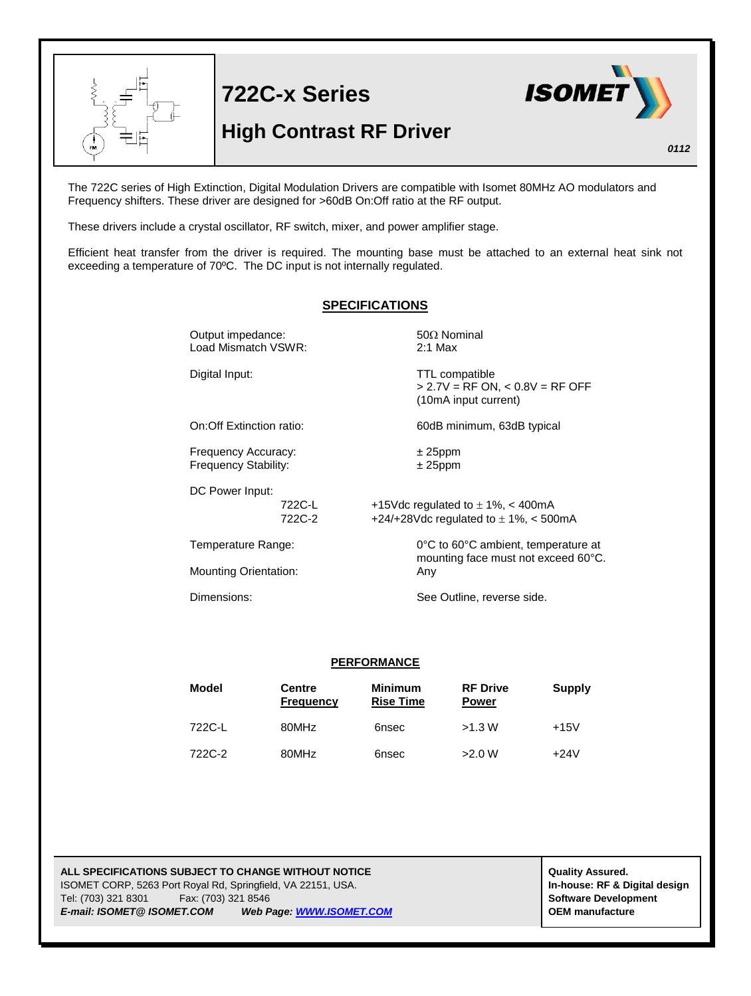

The 722C series of High Extinction, Digital Modulation Drivers are compatible with Isomet 80MHz AO modulators and Frequency shifters. These driver are designed for >60dB On:Off ratio at the RF output.

These drivers include a crystal oscillator, RF switch, mixer, and power amplifier stage.

Efficient heat transfer from the driver is required. The mounting base must be attached to an external heat sink not exceeding a temperature of 70ºC. The DC input is not internally regulated.

## **SPECIFICATIONS** Output impedance:  $50\Omega$  Nominal Load Mismatch VSWR: 2:1 Max Digital Input: TTL compatible  $> 2.7V = RF ON, < 0.8V = RF OFF$ (10mA input current) On:Off Extinction ratio: 60dB minimum, 63dB typical Frequency Accuracy:  $\pm 25$ ppm Frequency Stability:  $\pm 25$ ppm DC Power Input: 722C-L  $+15$ Vdc regulated to  $\pm 1\%$ , < 400mA 722C-2  $+24/+28$ Vdc regulated to  $\pm$  1%, < 500mA Temperature Range: 0°C to 60°C ambient, temperature at mounting face must not exceed 60°C. Mounting Orientation: Any Dimensions: See Outline, reverse side. **PERFORMANCE**

| Model  | Centre<br>Frequency | <b>Minimum</b><br><b>Rise Time</b> | <b>RF Drive</b><br><b>Power</b> | Supply |
|--------|---------------------|------------------------------------|---------------------------------|--------|
| 722C-L | 80MHz               | 6nsec                              | >1.3 W                          | $+15V$ |
| 722C-2 | 80MHz               | 6nsec                              | >2.0 W                          | $+24V$ |

**ALL SPECIFICATIONS SUBJECT TO CHANGE WITHOUT NOTICE ALL SPECIFICATIONS SUBJECT TO CHANGE WITHOUT NOTICE** ISOMET CORP, 5263 Port Royal Rd, Springfield, VA 22151, USA. **In-house: RF & Digital design** Tel: (703) 321 8301 Fax: (703) 321 8546 **Software Development** *E-mail: ISOMET@ ISOMET.COM Web Page: WWW.ISOMET.COM* **OEM manufacture**